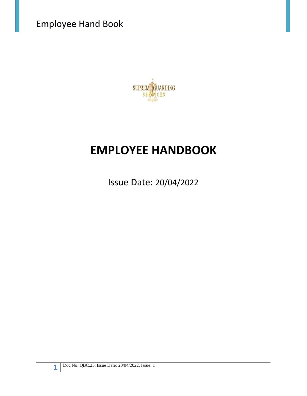

# **EMPLOYEE HANDBOOK**

Issue Date: 20/04/2022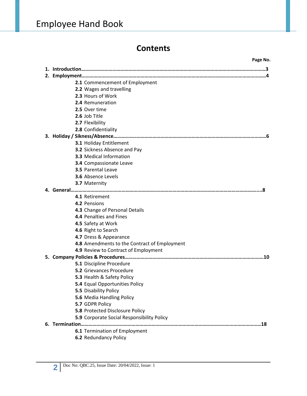## **Contents**

|  |                                              | Page No. |
|--|----------------------------------------------|----------|
|  |                                              |          |
|  |                                              |          |
|  | 2.1 Commencement of Employment               |          |
|  | 2.2 Wages and travelling                     |          |
|  | 2.3 Hours of Work                            |          |
|  | 2.4 Remuneration                             |          |
|  | 2.5 Over time                                |          |
|  | 2.6 Job Title                                |          |
|  | 2.7 Flexibility                              |          |
|  | 2.8 Confidentiality                          |          |
|  |                                              |          |
|  | 3.1 Holiday Entitlement                      |          |
|  | 3.2 Sickness Absence and Pay                 |          |
|  | <b>3.3 Medical Information</b>               |          |
|  | <b>3.4 Compassionate Leave</b>               |          |
|  | 3.5 Parental Leave                           |          |
|  | <b>3.6 Absence Levels</b>                    |          |
|  | 3.7 Maternity                                |          |
|  |                                              |          |
|  | 4.1 Retirement                               |          |
|  | 4.2 Pensions                                 |          |
|  | 4.3 Change of Personal Details               |          |
|  | 4.4 Penalties and Fines                      |          |
|  | 4.5 Safety at Work                           |          |
|  | 4.6 Right to Search                          |          |
|  | 4.7 Dress & Appearance                       |          |
|  | 4.8 Amendments to the Contract of Employment |          |
|  | 4.9 Review to Contract of Employment         |          |
|  |                                              |          |
|  | 5.1 Discipline Procedure                     |          |
|  | <b>5.2 Grievances Procedure</b>              |          |
|  | 5.3 Health & Safety Policy                   |          |
|  | <b>5.4</b> Equal Opportunities Policy        |          |
|  | 5.5 Disability Policy                        |          |
|  | 5.6 Media Handling Policy                    |          |
|  | 5.7 GDPR Policy                              |          |
|  | <b>5.8 Protected Disclosure Policy</b>       |          |
|  | 5.9 Corporate Social Responsibility Policy   |          |
|  |                                              |          |
|  | 6.1 Termination of Employment                |          |
|  | <b>6.2 Redundancy Policy</b>                 |          |
|  |                                              |          |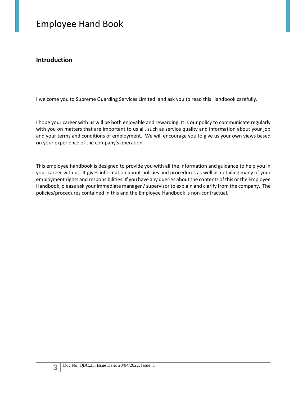### **Introduction**

I welcome you to Supreme Guarding Services Limited and ask you to read this Handbook carefully.

I hope your career with us will be both enjoyable and rewarding. It is our policy to communicate regularly with you on matters that are important to us all, such as service quality and information about your job and your terms and conditions of employment. We will encourage you to give us your own views based on your experience of the company's operation.

This employee handbook is designed to provide you with all the information and guidance to help you in your career with us. It gives information about policies and procedures as well as detailing many of your employment rights and responsibilities. If you have any queries about the contents of this or the Employee Handbook, please ask your immediate manager / supervisor to explain and clarify from the company. The policies/procedures contained in this and the Employee Handbook is non-contractual.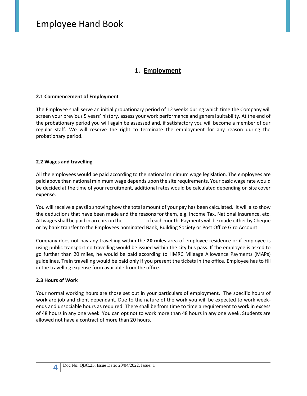### **1. Employment**

### **2.1 Commencement of Employment**

The Employee shall serve an initial probationary period of 12 weeks during which time the Company will screen your previous 5 years' history, assess your work performance and general suitability. At the end of the probationary period you will again be assessed and, if satisfactory you will become a member of our regular staff. We will reserve the right to terminate the employment for any reason during the probationary period.

### **2.2 Wages and travelling**

All the employees would be paid according to the national minimum wage legislation. The employees are paid above than national minimum wage depends upon the site requirements. Your basic wage rate would be decided at the time of your recruitment, additional rates would be calculated depending on site cover expense.

You will receive a payslip showing how the total amount of your pay has been calculated. It will also show the deductions that have been made and the reasons for them, e.g. Income Tax, National Insurance, etc. All wages shall be paid in arrears on the detail of each month. Payments will be made either by Cheque or by bank transfer to the Employees nominated Bank, Building Society or Post Office Giro Account.

Company does not pay any travelling within the **20 miles** area of employee residence or if employee is using public transport no travelling would be issued within the city bus pass. If the employee is asked to go further than 20 miles, he would be paid according to HMRC Mileage Allowance Payments (MAPs) guidelines. Train travelling would be paid only if you present the tickets in the office. Employee has to fill in the travelling expense form available from the office.

### **2.3 Hours of Work**

Your normal working hours are those set out in your particulars of employment. The specific hours of work are job and client dependant. Due to the nature of the work you will be expected to work week ends and unsociable hours as required. There shall be from time to time a requirement to work in excess of 48 hours in any one week. You can opt not to work more than 48 hours in any one week. Students are allowed not have a contract of more than 20 hours.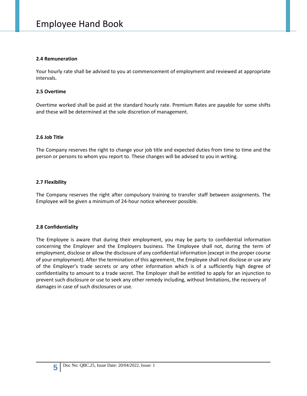### **2.4 Remuneration**

Your hourly rate shall be advised to you at commencement of employment and reviewed at appropriate intervals.

### **2.5 Overtime**

Overtime worked shall be paid at the standard hourly rate. Premium Rates are payable for some shifts and these will be determined at the sole discretion of management.

### **2.6 Job Title**

The Company reserves the right to change your job title and expected duties from time to time and the person or persons to whom you report to. These changes will be advised to you in writing.

### **2.7 Flexibility**

The Company reserves the right after compulsory training to transfer staff between assignments. The Employee will be given a minimum of 24-hour notice wherever possible.

### **2.8 Confidentiality**

The Employee is aware that during their employment, you may be party to confidential information concerning the Employer and the Employers business. The Employee shall not, during the term of employment, disclose or allow the disclosure of any confidential information (except in the proper course of your employment). After the termination of this agreement, the Employee shall not disclose or use any of the Employer's trade secrets or any other information which is of a sufficiently high degree of confidentiality to amount to a trade secret. The Employer shall be entitled to apply for an injunction to prevent such disclosure or use to seek any other remedy including, without limitations, the recovery of damages in case of such disclosures or use.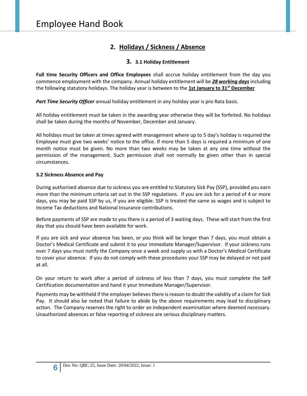### **2. Holidays / Sickness / Absence**

### **3. 3.1 Holiday Entitlement**

**Full time Security Officers and Office Employees** shall accrue holiday entitlement from the day you commence employment with the company. Annual holiday entitlement will be *28 working days* including the following statutory holidays. The holiday year is between to the **1st January to 31st December**

*Part Time Security Officer* annual holiday entitlement in any holiday year is pro Rata basis.

All holiday entitlement must be taken in the awarding year otherwise they will be forfeited. No holidays shall be taken during the months of November, December and January.

All holidays must be taken at times agreed with management where up to 5 day's holiday is required the Employee must give two weeks' notice to the office. If more than 5 days is required a minimum of one month notice must be given. No more than two weeks may be taken at any one time without the permission of the management. Such permission shall not normally be given other than in special circumstances.

### **3.2 Sickness Absence and Pay**

During authorised absence due to sickness you are entitled to Statutory Sick Pay (SSP), provided you earn more than the minimum criteria set out in the SSP regulations. If you are sick for a period of 4 or more days, you may be paid SSP by us, if you are eligible. SSP is treated the same as wages and is subject to Income Tax deductions and National Insurance contributions.

Before payments of SSP are made to you there is a period of 3 waiting days. These will start from the first day that you should have been available for work.

If you are sick and your absence has been, or you think will be longer than 7 days, you must obtain a Doctor's Medical Certificate and submit it to your Immediate Manager/Supervisor. If your sickness runs over 7 days you must notify the Company once a week and supply us with a Doctor's Medical Certificate to cover your absence. If you do not comply with these procedures your SSP may be delayed or not paid at all.

On your return to work after a period of sickness of less than 7 days, you must complete the Self Certification documentation and hand it your Immediate Manager/Supervisor.

Payments may be withheld if the employer believes there is reason to doubt the validity of a claim for Sick Pay. It should also be noted that failure to abide by the above requirements may lead to disciplinary action. The Company reserves the right to order an independent examination where deemed necessary. Unauthorized absences or false reporting of sickness are serious disciplinary matters.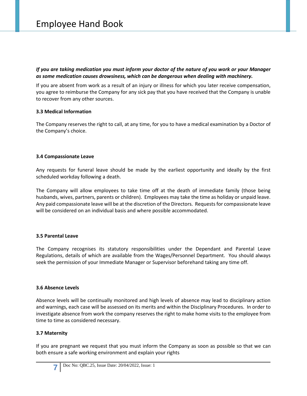*If you are taking medication you must inform your doctor of the nature of you work or your Manager as some medication causes drowsiness, which can be dangerous when dealing with machinery.*

If you are absent from work as a result of an injury or illness for which you later receive compensation, you agree to reimburse the Company for any sick pay that you have received that the Company is unable to recover from any other sources.

### **3.3 Medical Information**

The Company reserves the right to call, at any time, for you to have a medical examination by a Doctor of the Company's choice.

### **3.4 Compassionate Leave**

Any requests for funeral leave should be made by the earliest opportunity and ideally by the first scheduled workday following a death.

The Company will allow employees to take time off at the death of immediate family (those being husbands, wives, partners, parents or children). Employees may take the time as holiday or unpaid leave. Any paid compassionate leave will be at the discretion of the Directors. Requests for compassionate leave will be considered on an individual basis and where possible accommodated.

### **3.5 Parental Leave**

The Company recognises its statutory responsibilities under the Dependant and Parental Leave Regulations, details of which are available from the Wages/Personnel Department. You should always seek the permission of your Immediate Manager or Supervisor beforehand taking any time off.

#### **3.6 Absence Levels**

Absence levels will be continually monitored and high levels of absence may lead to disciplinary action and warnings, each case will be assessed on its merits and within the Disciplinary Procedures. In order to investigate absence from work the company reserves the right to make home visits to the employee from time to time as considered necessary.

### **3.7 Maternity**

If you are pregnant we request that you must inform the Company as soon as possible so that we can both ensure a safe working environment and explain your rights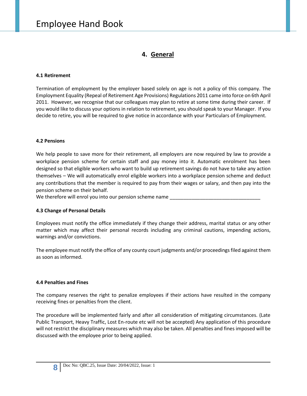### **4. General**

### **4.1 Retirement**

Termination of employment by the employer based solely on age is not a policy of this company. The Employment Equality (Repeal of Retirement Age Provisions) Regulations 2011 came into force on 6th April 2011. However, we recognise that our colleagues may plan to retire at some time during their career. If you would like to discuss your options in relation to retirement, you should speak to your Manager. If you decide to retire, you will be required to give notice in accordance with your Particulars of Employment.

### **4.2 Pensions**

We help people to save more for their retirement, all employers are now required by law to provide a workplace pension scheme for certain staff and pay money into it. Automatic enrolment has been designed so that eligible workers who want to build up retirement savings do not have to take any action themselves – We will automatically enrol eligible workers into a workplace pension scheme and deduct any contributions that the member is required to pay from their wages or salary, and then pay into the pension scheme on their behalf.

We therefore will enrol you into our pension scheme name

### **4.3 Change of Personal Details**

Employees must notify the office immediately if they change their address, marital status or any other matter which may affect their personal records including any criminal cautions, impending actions, warnings and/or convictions.

The employee must notify the office of any county court judgments and/or proceedings filed against them as soon as informed.

### **4.4 Penalties and Fines**

The company reserves the right to penalize employees if their actions have resulted in the company receiving fines or penalties from the client.

The procedure will be implemented fairly and after all consideration of mitigating circumstances. (Late Public Transport, Heavy Traffic, Lost En-route etc will not be accepted) Any application of this procedure will not restrict the disciplinary measures which may also be taken. All penalties and fines imposed will be discussed with the employee prior to being applied.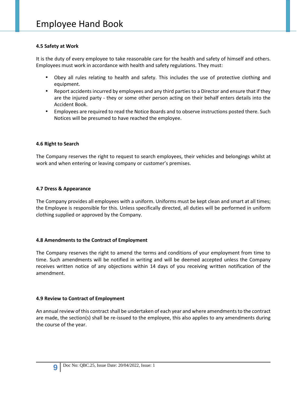### **4.5 Safety at Work**

It is the duty of every employee to take reasonable care for the health and safety of himself and others. Employees must work in accordance with health and safety regulations. They must:

- Obey all rules relating to health and safety. This includes the use of protective clothing and equipment.
- Report accidents incurred by employees and any third parties to a Director and ensure that if they are the injured party - they or some other person acting on their behalf enters details into the Accident Book.
- Employees are required to read the Notice Boards and to observe instructions posted there. Such Notices will be presumed to have reached the employee.

### **4.6 Right to Search**

The Company reserves the right to request to search employees, their vehicles and belongings whilst at work and when entering or leaving company or customer's premises.

### **4.7 Dress & Appearance**

The Company provides all employees with a uniform. Uniforms must be kept clean and smart at all times; the Employee is responsible for this. Unless specifically directed, all duties will be performed in uniform clothing supplied or approved by the Company.

### **4.8 Amendments to the Contract of Employment**

The Company reserves the right to amend the terms and conditions of your employment from time to time. Such amendments will be notified in writing and will be deemed accepted unless the Company receives written notice of any objections within 14 days of you receiving written notification of the amendment.

### **4.9 Review to Contract of Employment**

An annual review ofthis contract shall be undertaken of each year and where amendments to the contract are made, the section(s) shall be re-issued to the employee, this also applies to any amendments during the course of the year.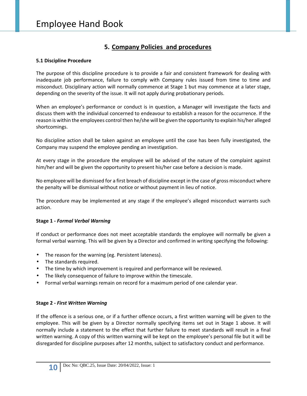### **5. Company Policies and procedures**

### **5.1 Discipline Procedure**

The purpose of this discipline procedure is to provide a fair and consistent framework for dealing with inadequate job performance, failure to comply with Company rules issued from time to time and misconduct. Disciplinary action will normally commence at Stage 1 but may commence at a later stage, depending on the severity of the issue. It will not apply during probationary periods.

When an employee's performance or conduct is in question, a Manager will investigate the facts and discuss them with the individual concerned to endeavour to establish a reason for the occurrence. If the reason is within the employees control then he/she will be given the opportunity to explain his/her alleged shortcomings.

No discipline action shall be taken against an employee until the case has been fully investigated, the Company may suspend the employee pending an investigation.

At every stage in the procedure the employee will be advised of the nature of the complaint against him/her and will be given the opportunity to present his/her case before a decision is made.

No employee will be dismissed for a first breach of discipline except in the case of gross misconduct where the penalty will be dismissal without notice or without payment in lieu of notice.

The procedure may be implemented at any stage if the employee's alleged misconduct warrants such action.

### **Stage 1 -** *Formal Verbal Warning*

If conduct or performance does not meet acceptable standards the employee will normally be given a formal verbal warning. This will be given by a Director and confirmed in writing specifying the following:

- The reason for the warning (eg. Persistent lateness).
- The standards required.
- The time by which improvement is required and performance will be reviewed.
- The likely consequence of failure to improve within the timescale.
- Formal verbal warnings remain on record for a maximum period of one calendar year.

### **Stage 2 -** *First Written Warning*

If the offence is a serious one, or if a further offence occurs, a first written warning will be given to the employee. This will be given by a Director normally specifying items set out in Stage 1 above. It will normally include a statement to the effect that further failure to meet standards will result in a final written warning. A copy of this written warning will be kept on the employee's personal file but it will be disregarded for discipline purposes after 12 months, subject to satisfactory conduct and performance.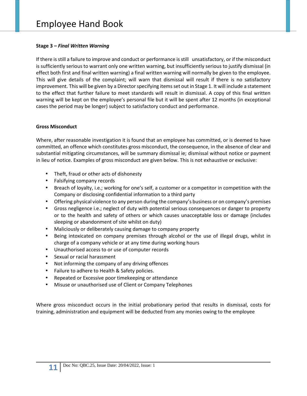### **Stage 3 –** *Final Written Warning*

If there is still a failure to improve and conduct or performance is still unsatisfactory, or if the misconduct is sufficiently serious to warrant only one written warning, but insufficiently serious to justify dismissal (in effect both first and final written warning) a final written warning will normally be given to the employee. This will give details of the complaint; will warn that dismissal will result if there is no satisfactory improvement. This will be given by a Director specifying items set out in Stage 1. It will include a statement to the effect that further failure to meet standards will result in dismissal. A copy of this final written warning will be kept on the employee's personal file but it will be spent after 12 months (in exceptional cases the period may be longer) subject to satisfactory conduct and performance.

### **Gross Misconduct**

Where, after reasonable investigation it is found that an employee has committed, or is deemed to have committed, an offence which constitutes gross misconduct, the consequence, in the absence of clear and substantial mitigating circumstances, will be summary dismissal ie; dismissal without notice or payment in lieu of notice. Examples of gross misconduct are given below. This is not exhaustive or exclusive:

- Theft, fraud or other acts of dishonesty
- Falsifying company records
- Breach of loyalty, i.e.; working for one's self, a customer or a competitor in competition with the Company or disclosing confidential information to a third party
- Offering physical violence to any person during the company's business or on company's premises
- Gross negligence i.e.; neglect of duty with potential serious consequences or danger to property or to the health and safety of others or which causes unacceptable loss or damage (includes sleeping or abandonment of site whilst on duty)
- Maliciously or deliberately causing damage to company property
- Being intoxicated on company premises through alcohol or the use of illegal drugs, whilst in charge of a company vehicle or at any time during working hours
- Unauthorised access to or use of computer records
- Sexual or racial harassment
- Not informing the company of any driving offences
- Failure to adhere to Health & Safety policies.
- Repeated or Excessive poor timekeeping or attendance
- Misuse or unauthorised use of Client or Company Telephones

Where gross misconduct occurs in the initial probationary period that results in dismissal, costs for training, administration and equipment will be deducted from any monies owing to the employee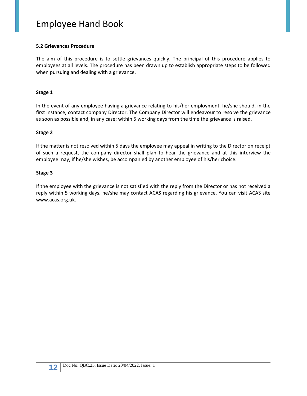### **5.2 Grievances Procedure**

The aim of this procedure is to settle grievances quickly. The principal of this procedure applies to employees at all levels. The procedure has been drawn up to establish appropriate steps to be followed when pursuing and dealing with a grievance.

### **Stage 1**

In the event of any employee having a grievance relating to his/her employment, he/she should, in the first instance, contact company Director. The Company Director will endeavour to resolve the grievance as soon as possible and, in any case; within 5 working days from the time the grievance is raised.

### **Stage 2**

If the matter is not resolved within 5 days the employee may appeal in writing to the Director on receipt of such a request, the company director shall plan to hear the grievance and at this interview the employee may, if he/she wishes, be accompanied by another employee of his/her choice.

### **Stage 3**

If the employee with the grievance is not satisfied with the reply from the Director or has not received a reply within 5 working days, he/she may contact ACAS regarding his grievance. You can visit ACAS site www.acas.org.uk.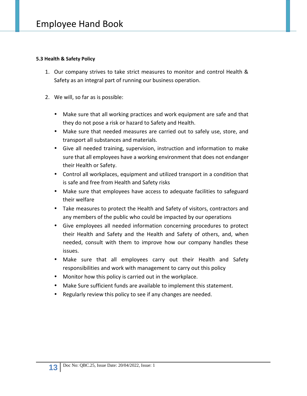### **5.3 Health & Safety Policy**

- 1. Our company strives to take strict measures to monitor and control Health & Safety as an integral part of running our business operation.
- 2. We will, so far as is possible:
	- Make sure that all working practices and work equipment are safe and that they do not pose a risk or hazard to Safety and Health.
	- Make sure that needed measures are carried out to safely use, store, and transport all substances and materials.
	- Give all needed training, supervision, instruction and information to make sure that all employees have a working environment that does not endanger their Health or Safety.
	- Control all workplaces, equipment and utilized transport in a condition that is safe and free from Health and Safety risks
	- Make sure that employees have access to adequate facilities to safeguard their welfare
	- Take measures to protect the Health and Safety of visitors, contractors and any members of the public who could be impacted by our operations
	- Give employees all needed information concerning procedures to protect their Health and Safety and the Health and Safety of others, and, when needed, consult with them to improve how our company handles these issues.
	- Make sure that all employees carry out their Health and Safety responsibilities and work with management to carry out this policy
	- Monitor how this policy is carried out in the workplace.
	- Make Sure sufficient funds are available to implement this statement.
	- Regularly review this policy to see if any changes are needed.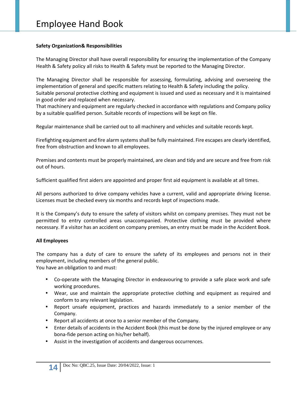### **Safety Organization& Responsibilities**

The Managing Director shall have overall responsibility for ensuring the implementation of the Company Health & Safety policy all risks to Health & Safety must be reported to the Managing Director.

The Managing Director shall be responsible for assessing, formulating, advising and overseeing the implementation of general and specific matters relating to Health & Safety including the policy.

Suitable personal protective clothing and equipment is issued and used as necessary and it is maintained in good order and replaced when necessary.

That machinery and equipment are regularly checked in accordance with regulations and Company policy by a suitable qualified person. Suitable records of inspections will be kept on file.

Regular maintenance shall be carried out to all machinery and vehicles and suitable records kept.

Firefighting equipment and fire alarm systems shall be fully maintained. Fire escapes are clearly identified, free from obstruction and known to all employees.

Premises and contents must be properly maintained, are clean and tidy and are secure and free from risk out of hours.

Sufficient qualified first aiders are appointed and proper first aid equipment is available at all times.

All persons authorized to drive company vehicles have a current, valid and appropriate driving license. Licenses must be checked every six months and records kept of inspections made.

It is the Company's duty to ensure the safety of visitors whilst on company premises. They must not be permitted to entry controlled areas unaccompanied. Protective clothing must be provided where necessary. If a visitor has an accident on company premises, an entry must be made in the Accident Book.

### **All Employees**

The company has a duty of care to ensure the safety of its employees and persons not in their employment, including members of the general public.

You have an obligation to and must:

- Co-operate with the Managing Director in endeavouring to provide a safe place work and safe working procedures.
- Wear, use and maintain the appropriate protective clothing and equipment as required and conform to any relevant legislation.
- Report unsafe equipment, practices and hazards immediately to a senior member of the Company.
- Report all accidents at once to a senior member of the Company.
- Enter details of accidents in the Accident Book (this must be done by the injured employee or any bona-fide person acting on his/her behalf).
- Assist in the investigation of accidents and dangerous occurrences.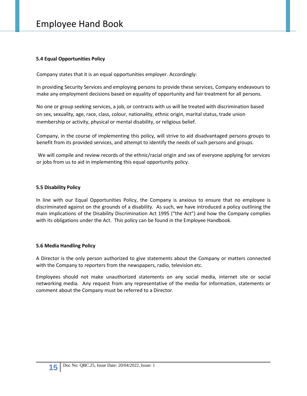### **5.4 Equal Opportunities Policy**

Company states that it is an equal opportunities employer. Accordingly:

In providing Security Services and employing persons to provide these services, Company endeavours to make any employment decisions based on equality of opportunity and fair treatment for all persons.

No one or group seeking services, a job, or contracts with us will be treated with discrimination based on sex, sexuality, age, race, class, colour, nationality, ethnic origin, marital status, trade union membership or activity, physical or mental disability, or religious belief.

Company, in the course of implementing this policy, will strive to aid disadvantaged persons groups to benefit from its provided services, and attempt to identify the needs of such persons and groups.

We will compile and review records of the ethnic/racial origin and sex of everyone applying for services or jobs from us to aid in implementing this equal opportunity policy.

### **5.5 Disability Policy**

In line with our Equal Opportunities Policy, the Company is anxious to ensure that no employee is discriminated against on the grounds of a disability. As such, we have introduced a policy outlining the main implications of the Disability Discrimination Act 1995 ("the Act") and how the Company complies with its obligations under the Act. This policy can be found in the Employee Handbook.

### **5.6 Media Handling Policy**

A Director is the only person authorized to give statements about the Company or matters connected with the Company to reporters from the newspapers, radio, television etc.

Employees should not make unauthorized statements on any social media, internet site or social networking media. Any request from any representative of the media for information, statements or comment about the Company must be referred to a Director.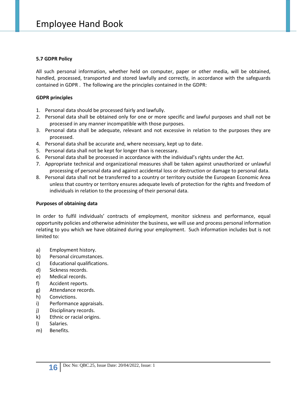### **5.7 GDPR Policy**

All such personal information, whether held on computer, paper or other media, will be obtained, handled, processed, transported and stored lawfully and correctly, in accordance with the safeguards contained in GDPR . The following are the principles contained in the GDPR:

### **GDPR principles**

- 1. Personal data should be processed fairly and lawfully.
- 2. Personal data shall be obtained only for one or more specific and lawful purposes and shall not be processed in any manner incompatible with those purposes.
- 3. Personal data shall be adequate, relevant and not excessive in relation to the purposes they are processed.
- 4. Personal data shall be accurate and, where necessary, kept up to date.
- 5. Personal data shall not be kept for longer than is necessary.
- 6. Personal data shall be processed in accordance with the individual's rights under the Act.
- 7. Appropriate technical and organizational measures shall be taken against unauthorized or unlawful processing of personal data and against accidental loss or destruction or damage to personal data.
- 8. Personal data shall not be transferred to a country or territory outside the European Economic Area unless that country or territory ensures adequate levels of protection for the rights and freedom of individuals in relation to the processing of their personal data.

### **Purposes of obtaining data**

In order to fulfil individuals' contracts of employment, monitor sickness and performance, equal opportunity policies and otherwise administer the business, we will use and process personal information relating to you which we have obtained during your employment. Such information includes but is not limited to:

- a) Employment history.
- b) Personal circumstances.
- c) Educational qualifications.
- d) Sickness records.
- e) Medical records.
- f) Accident reports.
- g) Attendance records.
- h) Convictions.
- i) Performance appraisals.
- j) Disciplinary records.
- k) Ethnic or racial origins.
- l) Salaries.
- m) Benefits.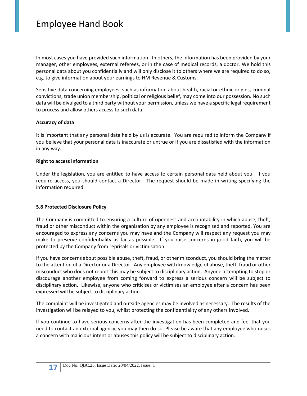In most cases you have provided such information. In others, the information has been provided by your manager, other employees, external referees, or in the case of medical records, a doctor. We hold this personal data about you confidentially and will only disclose it to others where we are required to do so, e.g. to give information about your earnings to HM Revenue & Customs.

Sensitive data concerning employees, such as information about health, racial or ethnic origins, criminal convictions, trade union membership, political or religious belief, may come into our possession. No such data will be divulged to a third party without your permission, unless we have a specific legal requirement to process and allow others access to such data.

### **Accuracy of data**

It is important that any personal data held by us is accurate. You are required to inform the Company if you believe that your personal data is inaccurate or untrue or if you are dissatisfied with the information in any way.

### **Right to access information**

Under the legislation, you are entitled to have access to certain personal data held about you. If you require access, you should contact a Director. The request should be made in writing specifying the information required.

### **5.8 Protected Disclosure Policy**

The Company is committed to ensuring a culture of openness and accountability in which abuse, theft, fraud or other misconduct within the organisation by any employee is recognised and reported. You are encouraged to express any concerns you may have and the Company will respect any request you may make to preserve confidentiality as far as possible. If you raise concerns in good faith, you will be protected by the Company from reprisals or victimisation.

If you have concerns about possible abuse, theft, fraud, or other misconduct, you should bring the matter to the attention of a Director or a Director. Any employee with knowledge of abuse, theft, fraud or other misconduct who does not report this may be subject to disciplinary action. Anyone attempting to stop or discourage another employee from coming forward to express a serious concern will be subject to disciplinary action. Likewise, anyone who criticises or victimises an employee after a concern has been expressed will be subject to disciplinary action.

The complaint will be investigated and outside agencies may be involved as necessary. The results of the investigation will be relayed to you, whilst protecting the confidentiality of any others involved.

If you continue to have serious concerns after the investigation has been completed and feel that you need to contact an external agency, you may then do so. Please be aware that any employee who raises a concern with malicious intent or abuses this policy will be subject to disciplinary action.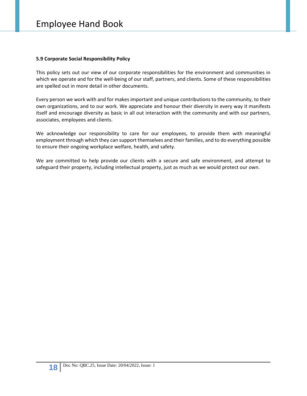### **5.9 Corporate Social Responsibility Policy**

This policy sets out our view of our corporate responsibilities for the environment and communities in which we operate and for the well-being of our staff, partners, and clients. Some of these responsibilities are spelled out in more detail in other documents.

Every person we work with and for makes important and unique contributions to the community, to their own organizations, and to our work. We appreciate and honour their diversity in every way it manifests itself and encourage diversity as basic in all out interaction with the community and with our partners, associates, employees and clients.

We acknowledge our responsibility to care for our employees, to provide them with meaningful employment through which they can support themselves and their families, and to do everything possible to ensure their ongoing workplace welfare, health, and safety.

We are committed to help provide our clients with a secure and safe environment, and attempt to safeguard their property, including intellectual property, just as much as we would protect our own.